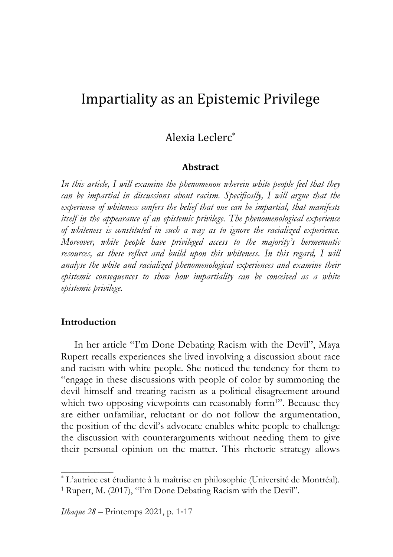# Impartiality
as
an
Epistemic
Privilege

# Alexia
Leclerc<sup>∗</sup>

#### **Abstract**

*In this article, I will examine the phenomenon wherein white people feel that they can be impartial in discussions about racism. Specifically, I will argue that the experience of whiteness confers the belief that one can be impartial, that manifests itself in the appearance of an epistemic privilege. The phenomenological experience of whiteness is constituted in such a way as to ignore the racialized experience. Moreover, white people have privileged access to the majority's hermeneutic resources, as these reflect and build upon this whiteness. In this regard, I will analyse the white and racialized phenomenological experiences and examine their epistemic consequences to show how impartiality can be conceived as a white epistemic privilege.*

## **Introduction**

In her article "I'm Done Debating Racism with the Devil", Maya Rupert recalls experiences she lived involving a discussion about race and racism with white people. She noticed the tendency for them to "engage in these discussions with people of color by summoning the devil himself and treating racism as a political disagreement around which two opposing viewpoints can reasonably form<sup>1"</sup>. Because they are either unfamiliar, reluctant or do not follow the argumentation, the position of the devil's advocate enables white people to challenge the discussion with counterarguments without needing them to give their personal opinion on the matter. This rhetoric strategy allows

<sup>∗</sup> L'autrice est étudiante à la maîtrise en philosophie (Université de Montréal). 1 Rupert, M. (2017), "I'm Done Debating Racism with the Devil".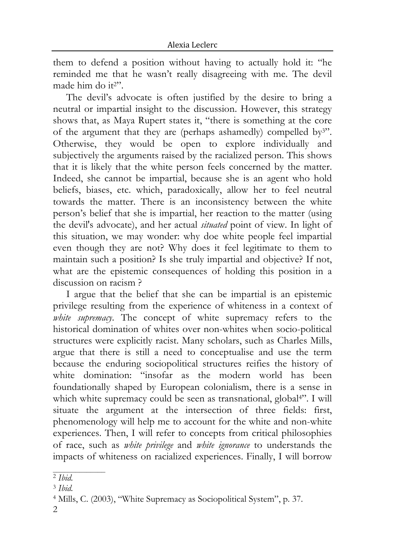them to defend a position without having to actually hold it: "he reminded me that he wasn't really disagreeing with me. The devil made him do it<sup>2"</sup>.

The devil's advocate is often justified by the desire to bring a neutral or impartial insight to the discussion. However, this strategy shows that, as Maya Rupert states it, "there is something at the core of the argument that they are (perhaps ashamedly) compelled by3". Otherwise, they would be open to explore individually and subjectively the arguments raised by the racialized person. This shows that it is likely that the white person feels concerned by the matter. Indeed, she cannot be impartial, because she is an agent who hold beliefs, biases, etc. which, paradoxically, allow her to feel neutral towards the matter. There is an inconsistency between the white person's belief that she is impartial, her reaction to the matter (using the devil's advocate), and her actual *situated* point of view. In light of this situation, we may wonder: why doe white people feel impartial even though they are not? Why does it feel legitimate to them to maintain such a position? Is she truly impartial and objective? If not, what are the epistemic consequences of holding this position in a discussion on racism ?

I argue that the belief that she can be impartial is an epistemic privilege resulting from the experience of whiteness in a context of *white supremacy*. The concept of white supremacy refers to the historical domination of whites over non-whites when socio-political structures were explicitly racist. Many scholars, such as Charles Mills, argue that there is still a need to conceptualise and use the term because the enduring sociopolitical structures reifies the history of white domination: "insofar as the modern world has been foundationally shaped by European colonialism, there is a sense in which white supremacy could be seen as transnational, global<sup>4"</sup>. I will situate the argument at the intersection of three fields: first, phenomenology will help me to account for the white and non-white experiences. Then, I will refer to concepts from critical philosophies of race, such as *white privilege* and *white ignorance* to understands the impacts of whiteness on racialized experiences. Finally, I will borrow

<sup>2</sup> *Ibid.*

<sup>3</sup> *Ibid.*

<sup>4</sup> Mills, C. (2003), "White Supremacy as Sociopolitical System", p. 37.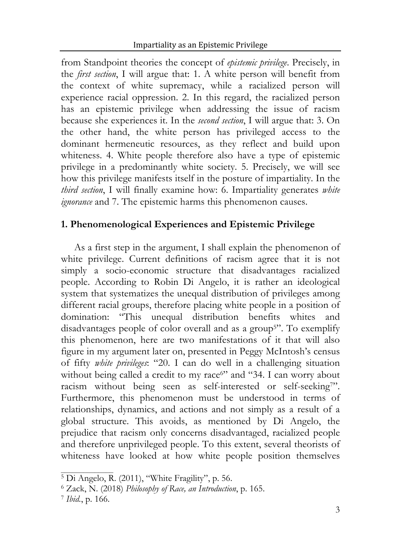from Standpoint theories the concept of *epistemic privilege*. Precisely, in the *first section*, I will argue that: 1. A white person will benefit from the context of white supremacy, while a racialized person will experience racial oppression. 2. In this regard, the racialized person has an epistemic privilege when addressing the issue of racism because she experiences it. In the *second section*, I will argue that: 3. On the other hand, the white person has privileged access to the dominant hermeneutic resources, as they reflect and build upon whiteness. 4. White people therefore also have a type of epistemic privilege in a predominantly white society. 5. Precisely, we will see how this privilege manifests itself in the posture of impartiality. In the *third section*, I will finally examine how: 6. Impartiality generates *white ignorance* and 7. The epistemic harms this phenomenon causes.

# **1. Phenomenological Experiences and Epistemic Privilege**

As a first step in the argument, I shall explain the phenomenon of white privilege. Current definitions of racism agree that it is not simply a socio-economic structure that disadvantages racialized people. According to Robin Di Angelo, it is rather an ideological system that systematizes the unequal distribution of privileges among different racial groups, therefore placing white people in a position of domination: "This unequal distribution benefits whites and disadvantages people of color overall and as a group<sup>5"</sup>. To exemplify this phenomenon, here are two manifestations of it that will also figure in my argument later on, presented in Peggy McIntosh's census of fifty *white privileges*: "20. I can do well in a challenging situation without being called a credit to my race<sup>6"</sup> and "34. I can worry about racism without being seen as self-interested or self-seeking7". Furthermore, this phenomenon must be understood in terms of relationships, dynamics, and actions and not simply as a result of a global structure. This avoids, as mentioned by Di Angelo, the prejudice that racism only concerns disadvantaged, racialized people and therefore unprivileged people. To this extent, several theorists of whiteness have looked at how white people position themselves

 $\overline{5}$  Di Angelo, R. (2011), "White Fragility", p. 56.

<sup>6</sup> Zack, N. (2018) *Philosophy of Race, an Introduction*, p. 165.

<sup>7</sup> *Ibid.*, p. 166.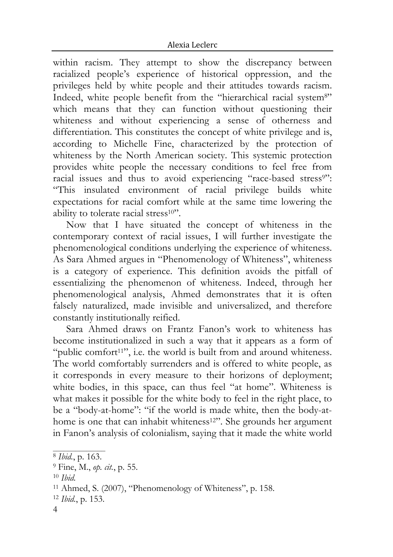within racism. They attempt to show the discrepancy between racialized people's experience of historical oppression, and the privileges held by white people and their attitudes towards racism. Indeed, white people benefit from the "hierarchical racial system<sup>8"</sup> which means that they can function without questioning their whiteness and without experiencing a sense of otherness and differentiation. This constitutes the concept of white privilege and is, according to Michelle Fine, characterized by the protection of whiteness by the North American society. This systemic protection provides white people the necessary conditions to feel free from racial issues and thus to avoid experiencing "race-based stress<sup>9"</sup>: "This insulated environment of racial privilege builds white expectations for racial comfort while at the same time lowering the ability to tolerate racial stress<sup>10"</sup>.

Now that I have situated the concept of whiteness in the contemporary context of racial issues, I will further investigate the phenomenological conditions underlying the experience of whiteness. As Sara Ahmed argues in "Phenomenology of Whiteness", whiteness is a category of experience. This definition avoids the pitfall of essentializing the phenomenon of whiteness. Indeed, through her phenomenological analysis, Ahmed demonstrates that it is often falsely naturalized, made invisible and universalized, and therefore constantly institutionally reified.

Sara Ahmed draws on Frantz Fanon's work to whiteness has become institutionalized in such a way that it appears as a form of "public comfort<sup>11"</sup>, i.e. the world is built from and around whiteness. The world comfortably surrenders and is offered to white people, as it corresponds in every measure to their horizons of deployment; white bodies, in this space, can thus feel "at home". Whiteness is what makes it possible for the white body to feel in the right place, to be a "body-at-home": "if the world is made white, then the body-athome is one that can inhabit whiteness<sup>12"</sup>. She grounds her argument in Fanon's analysis of colonialism, saying that it made the white world

4

<sup>8</sup> *Ibid.*, p. 163.

<sup>9</sup> Fine, M., *op. cit.*, p. 55.

<sup>10</sup> *Ibid.*

<sup>11</sup> Ahmed, S. (2007), "Phenomenology of Whiteness", p. 158.

<sup>12</sup> *Ibid.*, p. 153.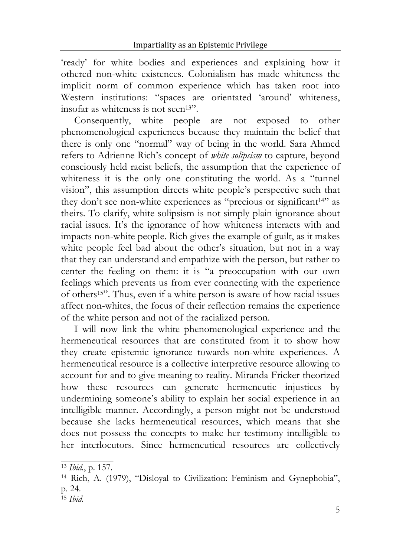'ready' for white bodies and experiences and explaining how it othered non-white existences. Colonialism has made whiteness the implicit norm of common experience which has taken root into Western institutions: "spaces are orientated 'around' whiteness, insofar as whiteness is not seen<sup>13"</sup>.

Consequently, white people are not exposed to other phenomenological experiences because they maintain the belief that there is only one "normal" way of being in the world. Sara Ahmed refers to Adrienne Rich's concept of *white solipsism* to capture, beyond consciously held racist beliefs, the assumption that the experience of whiteness it is the only one constituting the world. As a "tunnel" vision", this assumption directs white people's perspective such that they don't see non-white experiences as "precious or significant<sup>14"</sup> as theirs. To clarify, white solipsism is not simply plain ignorance about racial issues. It's the ignorance of how whiteness interacts with and impacts non-white people. Rich gives the example of guilt, as it makes white people feel bad about the other's situation, but not in a way that they can understand and empathize with the person, but rather to center the feeling on them: it is "a preoccupation with our own feelings which prevents us from ever connecting with the experience of others15". Thus, even if a white person is aware of how racial issues affect non-whites, the focus of their reflection remains the experience of the white person and not of the racialized person.

I will now link the white phenomenological experience and the hermeneutical resources that are constituted from it to show how they create epistemic ignorance towards non-white experiences. A hermeneutical resource is a collective interpretive resource allowing to account for and to give meaning to reality. Miranda Fricker theorized how these resources can generate hermeneutic injustices by undermining someone's ability to explain her social experience in an intelligible manner. Accordingly, a person might not be understood because she lacks hermeneutical resources, which means that she does not possess the concepts to make her testimony intelligible to her interlocutors. Since hermeneutical resources are collectively

<sup>13</sup> *Ibid.*, p. 157.

<sup>14</sup> Rich, A. (1979), "Disloyal to Civilization: Feminism and Gynephobia", p. 24.

<sup>15</sup> *Ibid.*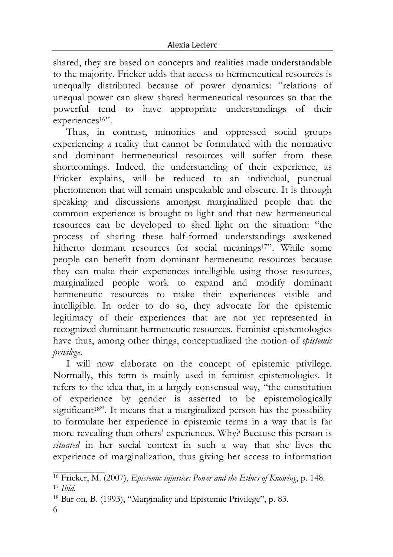shared, they are based on concepts and realities made understandable to the majority. Fricker adds that access to hermeneutical resources is unequally distributed because of power dynamics: "relations of unequal power can skew shared hermeneutical resources so that the powerful tend to have appropriate understandings of their experiences<sup>16"</sup>.

Thus, in contrast, minorities and oppressed social groups experiencing a reality that cannot be formulated with the normative and dominant hermeneutical resources will suffer from these shortcomings. Indeed, the understanding of their experience, as Fricker explains, will be reduced to an individual, punctual phenomenon that will remain unspeakable and obscure. It is through speaking and discussions amongst marginalized people that the common experience is brought to light and that new hermeneutical resources can be developed to shed light on the situation: "the process of sharing these half-formed understandings awakened hitherto dormant resources for social meanings<sup>17"</sup>. While some people can benefit from dominant hermeneutic resources because they can make their experiences intelligible using those resources, marginalized people work to expand and modify dominant hermeneutic resources to make their experiences visible and intelligible. In order to do so, they advocate for the epistemic legitimacy of their experiences that are not yet represented in recognized dominant hermeneutic resources. Feminist epistemologies have thus, among other things, conceptualized the notion of *epistemic privilege*.

I will now elaborate on the concept of epistemic privilege. Normally, this term is mainly used in feminist epistemologies. It refers to the idea that, in a largely consensual way, "the constitution of experience by gender is asserted to be epistemologically significant<sup>18"</sup>. It means that a marginalized person has the possibility to formulate her experience in epistemic terms in a way that is far more revealing than others' experiences. Why? Because this person is *situated* in her social context in such a way that she lives the experience of marginalization, thus giving her access to information

<sup>16</sup> Fricker, M. (2007), *Epistemic injustice: Power and the Ethics of Knowing*, p. 148. <sup>17</sup> *Ibid.*

<sup>18</sup> Bar on, B. (1993), "Marginality and Epistemic Privilege", p. 83.

<sup>6</sup>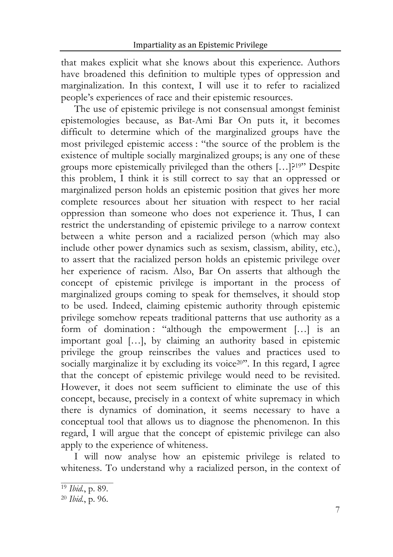that makes explicit what she knows about this experience. Authors have broadened this definition to multiple types of oppression and marginalization. In this context, I will use it to refer to racialized people's experiences of race and their epistemic resources.

The use of epistemic privilege is not consensual amongst feminist epistemologies because, as Bat-Ami Bar On puts it, it becomes difficult to determine which of the marginalized groups have the most privileged epistemic access : "the source of the problem is the existence of multiple socially marginalized groups; is any one of these groups more epistemically privileged than the others […]?19" Despite this problem, I think it is still correct to say that an oppressed or marginalized person holds an epistemic position that gives her more complete resources about her situation with respect to her racial oppression than someone who does not experience it. Thus, I can restrict the understanding of epistemic privilege to a narrow context between a white person and a racialized person (which may also include other power dynamics such as sexism, classism, ability, etc.), to assert that the racialized person holds an epistemic privilege over her experience of racism. Also, Bar On asserts that although the concept of epistemic privilege is important in the process of marginalized groups coming to speak for themselves, it should stop to be used. Indeed, claiming epistemic authority through epistemic privilege somehow repeats traditional patterns that use authority as a form of domination : "although the empowerment […] is an important goal […], by claiming an authority based in epistemic privilege the group reinscribes the values and practices used to socially marginalize it by excluding its voice<sup>20"</sup>. In this regard, I agree that the concept of epistemic privilege would need to be revisited. However, it does not seem sufficient to eliminate the use of this concept, because, precisely in a context of white supremacy in which there is dynamics of domination, it seems necessary to have a conceptual tool that allows us to diagnose the phenomenon. In this regard, I will argue that the concept of epistemic privilege can also apply to the experience of whiteness.

I will now analyse how an epistemic privilege is related to whiteness. To understand why a racialized person, in the context of

<sup>19</sup> *Ibid.*, p. 89.

<sup>20</sup> *Ibid.*, p. 96.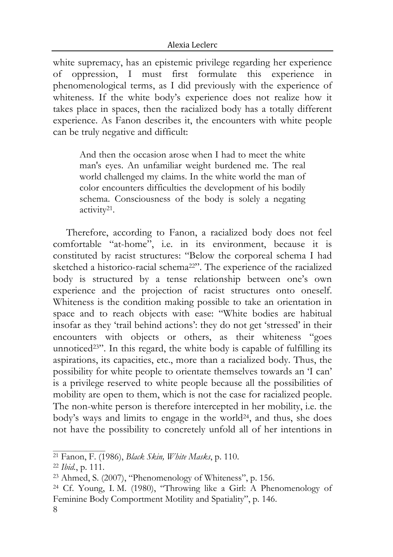white supremacy, has an epistemic privilege regarding her experience of oppression, I must first formulate this experience in phenomenological terms, as I did previously with the experience of whiteness. If the white body's experience does not realize how it takes place in spaces, then the racialized body has a totally different experience. As Fanon describes it, the encounters with white people can be truly negative and difficult:

And then the occasion arose when I had to meet the white man's eyes. An unfamiliar weight burdened me. The real world challenged my claims. In the white world the man of color encounters difficulties the development of his bodily schema. Consciousness of the body is solely a negating activity21.

Therefore, according to Fanon, a racialized body does not feel comfortable "at-home", i.e. in its environment, because it is constituted by racist structures: "Below the corporeal schema I had sketched a historico-racial schema22". The experience of the racialized body is structured by a tense relationship between one's own experience and the projection of racist structures onto oneself. Whiteness is the condition making possible to take an orientation in space and to reach objects with ease: "White bodies are habitual insofar as they 'trail behind actions': they do not get 'stressed' in their encounters with objects or others, as their whiteness "goes unnoticed<sup>23"</sup>. In this regard, the white body is capable of fulfilling its aspirations, its capacities, etc., more than a racialized body. Thus, the possibility for white people to orientate themselves towards an 'I can' is a privilege reserved to white people because all the possibilities of mobility are open to them, which is not the case for racialized people. The non-white person is therefore intercepted in her mobility, i.e. the body's ways and limits to engage in the world<sup>24</sup>, and thus, she does not have the possibility to concretely unfold all of her intentions in

<sup>21</sup> Fanon, F. (1986), *Black Skin, White Masks*, p. 110.

<sup>22</sup> *Ibid.*, p. 111.

<sup>23</sup> Ahmed, S. (2007), "Phenomenology of Whiteness", p. 156.

<sup>24</sup> Cf. Young, I. M. (1980), "Throwing like a Girl: A Phenomenology of Feminine Body Comportment Motility and Spatiality", p. 146.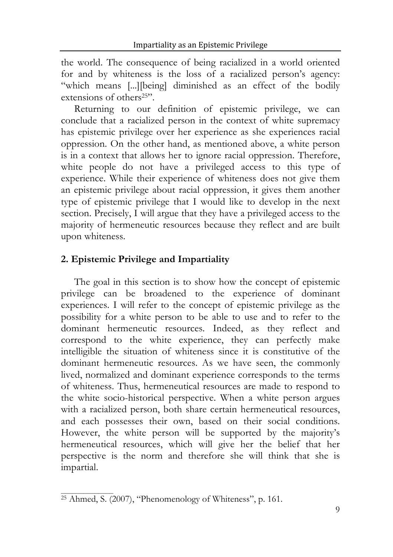the world. The consequence of being racialized in a world oriented for and by whiteness is the loss of a racialized person's agency: "which means [...][being] diminished as an effect of the bodily extensions of others<sup>25"</sup>.

Returning to our definition of epistemic privilege, we can conclude that a racialized person in the context of white supremacy has epistemic privilege over her experience as she experiences racial oppression. On the other hand, as mentioned above, a white person is in a context that allows her to ignore racial oppression. Therefore, white people do not have a privileged access to this type of experience. While their experience of whiteness does not give them an epistemic privilege about racial oppression, it gives them another type of epistemic privilege that I would like to develop in the next section. Precisely, I will argue that they have a privileged access to the majority of hermeneutic resources because they reflect and are built upon whiteness.

## **2. Epistemic Privilege and Impartiality**

The goal in this section is to show how the concept of epistemic privilege can be broadened to the experience of dominant experiences. I will refer to the concept of epistemic privilege as the possibility for a white person to be able to use and to refer to the dominant hermeneutic resources. Indeed, as they reflect and correspond to the white experience, they can perfectly make intelligible the situation of whiteness since it is constitutive of the dominant hermeneutic resources. As we have seen, the commonly lived, normalized and dominant experience corresponds to the terms of whiteness. Thus, hermeneutical resources are made to respond to the white socio-historical perspective. When a white person argues with a racialized person, both share certain hermeneutical resources, and each possesses their own, based on their social conditions. However, the white person will be supported by the majority's hermeneutical resources, which will give her the belief that her perspective is the norm and therefore she will think that she is impartial.

 $\frac{25 \text{ Ahmed}}{25 \text{ Ahmed}}$ , S. (2007), "Phenomenology of Whiteness", p. 161.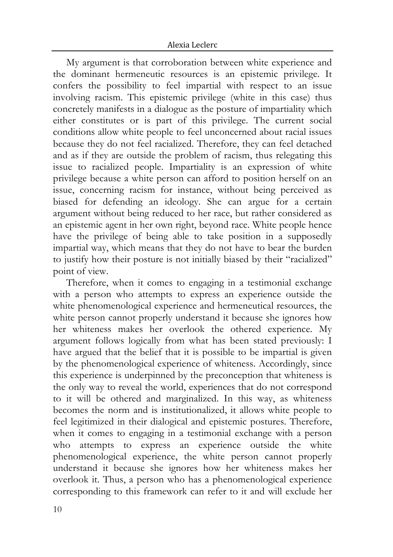My argument is that corroboration between white experience and the dominant hermeneutic resources is an epistemic privilege. It confers the possibility to feel impartial with respect to an issue involving racism. This epistemic privilege (white in this case) thus concretely manifests in a dialogue as the posture of impartiality which either constitutes or is part of this privilege. The current social conditions allow white people to feel unconcerned about racial issues because they do not feel racialized. Therefore, they can feel detached and as if they are outside the problem of racism, thus relegating this issue to racialized people. Impartiality is an expression of white privilege because a white person can afford to position herself on an issue, concerning racism for instance, without being perceived as biased for defending an ideology. She can argue for a certain argument without being reduced to her race, but rather considered as an epistemic agent in her own right, beyond race. White people hence have the privilege of being able to take position in a supposedly impartial way, which means that they do not have to bear the burden to justify how their posture is not initially biased by their "racialized" point of view.

Therefore, when it comes to engaging in a testimonial exchange with a person who attempts to express an experience outside the white phenomenological experience and hermeneutical resources, the white person cannot properly understand it because she ignores how her whiteness makes her overlook the othered experience. My argument follows logically from what has been stated previously: I have argued that the belief that it is possible to be impartial is given by the phenomenological experience of whiteness. Accordingly, since this experience is underpinned by the preconception that whiteness is the only way to reveal the world, experiences that do not correspond to it will be othered and marginalized. In this way, as whiteness becomes the norm and is institutionalized, it allows white people to feel legitimized in their dialogical and epistemic postures. Therefore, when it comes to engaging in a testimonial exchange with a person who attempts to express an experience outside the white phenomenological experience, the white person cannot properly understand it because she ignores how her whiteness makes her overlook it. Thus, a person who has a phenomenological experience corresponding to this framework can refer to it and will exclude her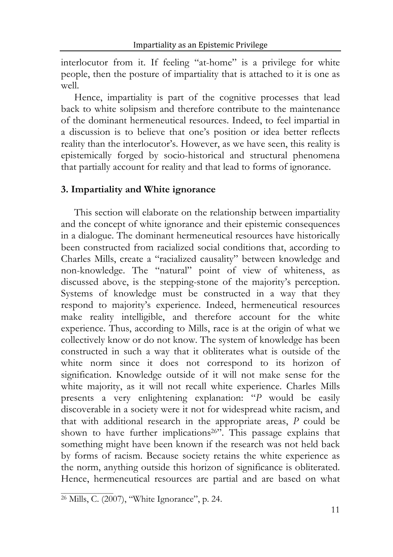interlocutor from it. If feeling "at-home" is a privilege for white people, then the posture of impartiality that is attached to it is one as well.

Hence, impartiality is part of the cognitive processes that lead back to white solipsism and therefore contribute to the maintenance of the dominant hermeneutical resources. Indeed, to feel impartial in a discussion is to believe that one's position or idea better reflects reality than the interlocutor's. However, as we have seen, this reality is epistemically forged by socio-historical and structural phenomena that partially account for reality and that lead to forms of ignorance.

## **3. Impartiality and White ignorance**

This section will elaborate on the relationship between impartiality and the concept of white ignorance and their epistemic consequences in a dialogue. The dominant hermeneutical resources have historically been constructed from racialized social conditions that, according to Charles Mills, create a "racialized causality" between knowledge and non-knowledge. The "natural" point of view of whiteness, as discussed above, is the stepping-stone of the majority's perception. Systems of knowledge must be constructed in a way that they respond to majority's experience. Indeed, hermeneutical resources make reality intelligible, and therefore account for the white experience. Thus, according to Mills, race is at the origin of what we collectively know or do not know. The system of knowledge has been constructed in such a way that it obliterates what is outside of the white norm since it does not correspond to its horizon of signification. Knowledge outside of it will not make sense for the white majority, as it will not recall white experience. Charles Mills presents a very enlightening explanation: "*P* would be easily discoverable in a society were it not for widespread white racism, and that with additional research in the appropriate areas, *P* could be shown to have further implications<sup>26"</sup>. This passage explains that something might have been known if the research was not held back by forms of racism. Because society retains the white experience as the norm, anything outside this horizon of significance is obliterated. Hence, hermeneutical resources are partial and are based on what

 $\frac{26 \text{ Mills}}{26 \text{ Mills}}$ , C. (2007), "White Ignorance", p. 24.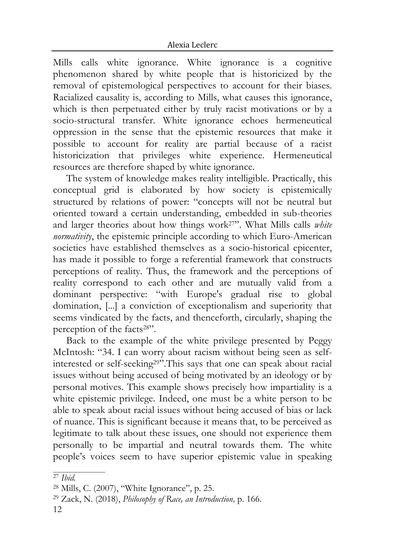Mills calls white ignorance. White ignorance is a cognitive phenomenon shared by white people that is historicized by the removal of epistemological perspectives to account for their biases. Racialized causality is, according to Mills, what causes this ignorance, which is then perpetuated either by truly racist motivations or by a socio-structural transfer. White ignorance echoes hermeneutical oppression in the sense that the epistemic resources that make it possible to account for reality are partial because of a racist historicization that privileges white experience. Hermeneutical resources are therefore shaped by white ignorance.

The system of knowledge makes reality intelligible. Practically, this conceptual grid is elaborated by how society is epistemically structured by relations of power: "concepts will not be neutral but oriented toward a certain understanding, embedded in sub-theories and larger theories about how things work27". What Mills calls *white normativity*, the epistemic principle according to which Euro-American societies have established themselves as a socio-historical epicenter, has made it possible to forge a referential framework that constructs perceptions of reality. Thus, the framework and the perceptions of reality correspond to each other and are mutually valid from a dominant perspective: "with Europe's gradual rise to global domination, [...] a conviction of exceptionalism and superiority that seems vindicated by the facts, and thenceforth, circularly, shaping the perception of the facts<sup>28"</sup>.

Back to the example of the white privilege presented by Peggy McIntosh: "34. I can worry about racism without being seen as selfinterested or self-seeking29".This says that one can speak about racial issues without being accused of being motivated by an ideology or by personal motives. This example shows precisely how impartiality is a white epistemic privilege. Indeed, one must be a white person to be able to speak about racial issues without being accused of bias or lack of nuance. This is significant because it means that, to be perceived as legitimate to talk about these issues, one should not experience them personally to be impartial and neutral towards them. The white people's voices seem to have superior epistemic value in speaking

<sup>27</sup> *Ibid.*

<sup>28</sup> Mills, C. (2007), "White Ignorance", p. 25.

<sup>29</sup> Zack, N. (2018), *Philosophy of Race, an Introduction,* p. 166.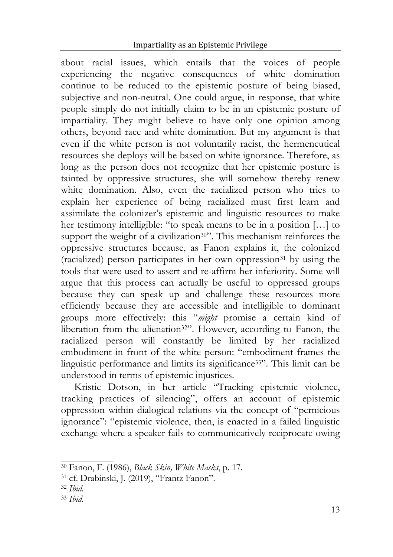### Impartiality
as
an
Epistemic
Privilege

about racial issues, which entails that the voices of people experiencing the negative consequences of white domination continue to be reduced to the epistemic posture of being biased, subjective and non-neutral. One could argue, in response, that white people simply do not initially claim to be in an epistemic posture of impartiality. They might believe to have only one opinion among others, beyond race and white domination. But my argument is that even if the white person is not voluntarily racist, the hermeneutical resources she deploys will be based on white ignorance. Therefore, as long as the person does not recognize that her epistemic posture is tainted by oppressive structures, she will somehow thereby renew white domination. Also, even the racialized person who tries to explain her experience of being racialized must first learn and assimilate the colonizer's epistemic and linguistic resources to make her testimony intelligible: "to speak means to be in a position […] to support the weight of a civilization<sup>30"</sup>. This mechanism reinforces the oppressive structures because, as Fanon explains it, the colonized (racialized) person participates in her own oppression31 by using the tools that were used to assert and re-affirm her inferiority. Some will argue that this process can actually be useful to oppressed groups because they can speak up and challenge these resources more efficiently because they are accessible and intelligible to dominant groups more effectively: this "*might* promise a certain kind of liberation from the alienation<sup>32"</sup>. However, according to Fanon, the racialized person will constantly be limited by her racialized embodiment in front of the white person: "embodiment frames the linguistic performance and limits its significance33". This limit can be understood in terms of epistemic injustices.

Kristie Dotson, in her article "Tracking epistemic violence, tracking practices of silencing", offers an account of epistemic oppression within dialogical relations via the concept of "pernicious ignorance": "epistemic violence, then, is enacted in a failed linguistic exchange where a speaker fails to communicatively reciprocate owing

<sup>30</sup> Fanon, F. (1986), *Black Skin, White Masks*, p. 17.

<sup>31</sup> cf. Drabinski, J. (2019), "Frantz Fanon".

<sup>32</sup> *Ibid.*

<sup>33</sup> *Ibid.*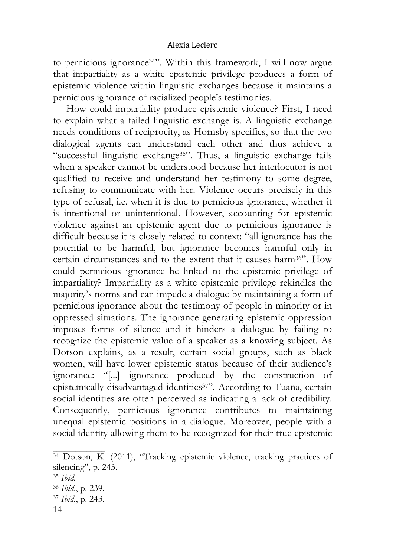to pernicious ignorance34". Within this framework, I will now argue that impartiality as a white epistemic privilege produces a form of epistemic violence within linguistic exchanges because it maintains a pernicious ignorance of racialized people's testimonies.

How could impartiality produce epistemic violence? First, I need to explain what a failed linguistic exchange is. A linguistic exchange needs conditions of reciprocity, as Hornsby specifies, so that the two dialogical agents can understand each other and thus achieve a "successful linguistic exchange<sup>35"</sup>. Thus, a linguistic exchange fails when a speaker cannot be understood because her interlocutor is not qualified to receive and understand her testimony to some degree, refusing to communicate with her. Violence occurs precisely in this type of refusal, i.e. when it is due to pernicious ignorance, whether it is intentional or unintentional. However, accounting for epistemic violence against an epistemic agent due to pernicious ignorance is difficult because it is closely related to context: "all ignorance has the potential to be harmful, but ignorance becomes harmful only in certain circumstances and to the extent that it causes harm36". How could pernicious ignorance be linked to the epistemic privilege of impartiality? Impartiality as a white epistemic privilege rekindles the majority's norms and can impede a dialogue by maintaining a form of pernicious ignorance about the testimony of people in minority or in oppressed situations. The ignorance generating epistemic oppression imposes forms of silence and it hinders a dialogue by failing to recognize the epistemic value of a speaker as a knowing subject. As Dotson explains, as a result, certain social groups, such as black women, will have lower epistemic status because of their audience's ignorance: "[...] ignorance produced by the construction of epistemically disadvantaged identities<sup>37"</sup>. According to Tuana, certain social identities are often perceived as indicating a lack of credibility. Consequently, pernicious ignorance contributes to maintaining unequal epistemic positions in a dialogue. Moreover, people with a social identity allowing them to be recognized for their true epistemic

<sup>&</sup>lt;sup>34</sup> Dotson, K. (2011), "Tracking epistemic violence, tracking practices of silencing", p. 243.

<sup>35</sup> *Ibid.*

<sup>36</sup> *Ibid*., p. 239.

<sup>37</sup> *Ibid.*, p. 243.

<sup>14</sup>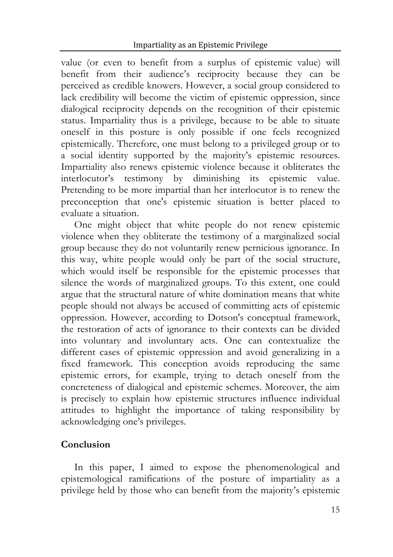value (or even to benefit from a surplus of epistemic value) will benefit from their audience's reciprocity because they can be perceived as credible knowers. However, a social group considered to lack credibility will become the victim of epistemic oppression, since dialogical reciprocity depends on the recognition of their epistemic status. Impartiality thus is a privilege, because to be able to situate oneself in this posture is only possible if one feels recognized epistemically. Therefore, one must belong to a privileged group or to a social identity supported by the majority's epistemic resources. Impartiality also renews epistemic violence because it obliterates the interlocutor's testimony by diminishing its epistemic value. Pretending to be more impartial than her interlocutor is to renew the preconception that one's epistemic situation is better placed to evaluate a situation.

One might object that white people do not renew epistemic violence when they obliterate the testimony of a marginalized social group because they do not voluntarily renew pernicious ignorance. In this way, white people would only be part of the social structure, which would itself be responsible for the epistemic processes that silence the words of marginalized groups. To this extent, one could argue that the structural nature of white domination means that white people should not always be accused of committing acts of epistemic oppression. However, according to Dotson's conceptual framework, the restoration of acts of ignorance to their contexts can be divided into voluntary and involuntary acts. One can contextualize the different cases of epistemic oppression and avoid generalizing in a fixed framework. This conception avoids reproducing the same epistemic errors, for example, trying to detach oneself from the concreteness of dialogical and epistemic schemes. Moreover, the aim is precisely to explain how epistemic structures influence individual attitudes to highlight the importance of taking responsibility by acknowledging one's privileges.

# **Conclusion**

In this paper, I aimed to expose the phenomenological and epistemological ramifications of the posture of impartiality as a privilege held by those who can benefit from the majority's epistemic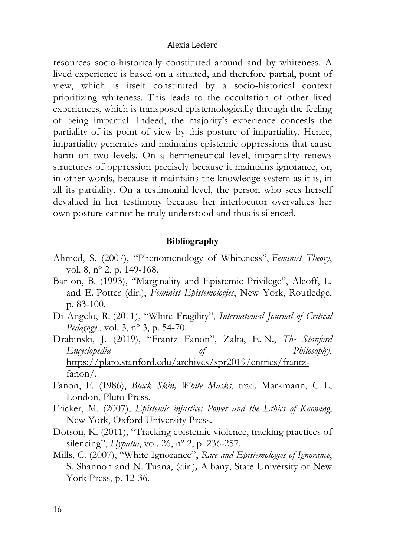resources socio-historically constituted around and by whiteness. A lived experience is based on a situated, and therefore partial, point of view, which is itself constituted by a socio-historical context prioritizing whiteness. This leads to the occultation of other lived experiences, which is transposed epistemologically through the feeling of being impartial. Indeed, the majority's experience conceals the partiality of its point of view by this posture of impartiality. Hence, impartiality generates and maintains epistemic oppressions that cause harm on two levels. On a hermeneutical level, impartiality renews structures of oppression precisely because it maintains ignorance, or, in other words, because it maintains the knowledge system as it is, in all its partiality. On a testimonial level, the person who sees herself devalued in her testimony because her interlocutor overvalues her own posture cannot be truly understood and thus is silenced.

#### **Bibliography**

- Ahmed, S. (2007), "Phenomenology of Whiteness", *Feminist Theory*, vol. 8, nº 2, p. 149-168.
- Bar on, B. (1993), "Marginality and Epistemic Privilege", Alcoff, L. and E. Potter (dir.), *Feminist Epistemologies*, New York, Routledge, p. 83-100.
- Di Angelo, R. (2011), "White Fragility", *International Journal of Critical Pedagogy* , vol. 3, nº 3, p. 54-70.
- Drabinski, J. (2019), "Frantz Fanon", Zalta, E. N., *The Stanford Encyclopedia of Philosophy*, https://plato.stanford.edu/archives/spr2019/entries/frantzfanon/.
- Fanon, F. (1986), *Black Skin, White Masks*, trad. Markmann, C. L, London, Pluto Press.
- Fricker, M. (2007), *Epistemic injustice: Power and the Ethics of Knowing*, New York, Oxford University Press.
- Dotson, K. (2011), "Tracking epistemic violence, tracking practices of silencing", *Hypatia*, vol. 26, nº 2, p. 236-257.
- Mills, C. (2007), "White Ignorance", *Race and Epistemologies of Ignorance*, S. Shannon and N. Tuana, (dir.)*,* Albany, State University of New York Press, p. 12-36.